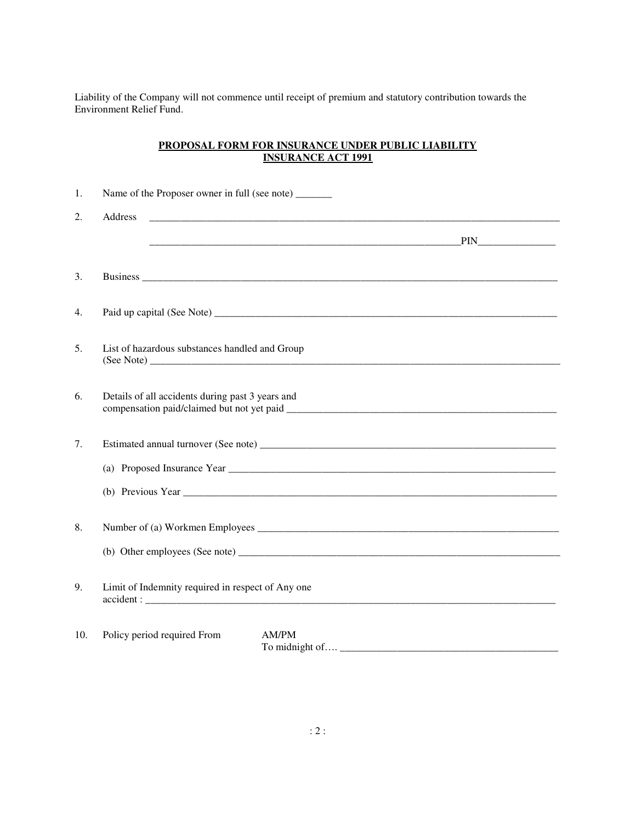Liability of the Company will not commence until receipt of premium and statutory contribution towards the Environment Relief Fund.

# **PROPOSAL FORM FOR INSURANCE UNDER PUBLIC LIABILITY INSURANCE ACT 1991**

| 1.  | Name of the Proposer owner in full (see note) ______                                                                                                                                                                                 |  |  |  |  |
|-----|--------------------------------------------------------------------------------------------------------------------------------------------------------------------------------------------------------------------------------------|--|--|--|--|
| 2.  | Address                                                                                                                                                                                                                              |  |  |  |  |
|     | <u>PIN PIN PIN PHENOMENE PROPERTY AND RELEASED FOR THE PINETIC STATE OF THE PINETIC STATE OF THE PINETIC STATE OF THE STATE OF THE STATE OF THE STATE OF THE STATE OF THE STATE OF THE STATE OF THE STATE OF THE STATE OF THE ST</u> |  |  |  |  |
|     |                                                                                                                                                                                                                                      |  |  |  |  |
| 3.  |                                                                                                                                                                                                                                      |  |  |  |  |
| 4.  |                                                                                                                                                                                                                                      |  |  |  |  |
| 5.  | List of hazardous substances handled and Group                                                                                                                                                                                       |  |  |  |  |
| 6.  | Details of all accidents during past 3 years and                                                                                                                                                                                     |  |  |  |  |
| 7.  |                                                                                                                                                                                                                                      |  |  |  |  |
|     |                                                                                                                                                                                                                                      |  |  |  |  |
|     |                                                                                                                                                                                                                                      |  |  |  |  |
| 8.  |                                                                                                                                                                                                                                      |  |  |  |  |
|     |                                                                                                                                                                                                                                      |  |  |  |  |
| 9.  | Limit of Indemnity required in respect of Any one                                                                                                                                                                                    |  |  |  |  |
| 10. | Policy period required From<br>AM/PM                                                                                                                                                                                                 |  |  |  |  |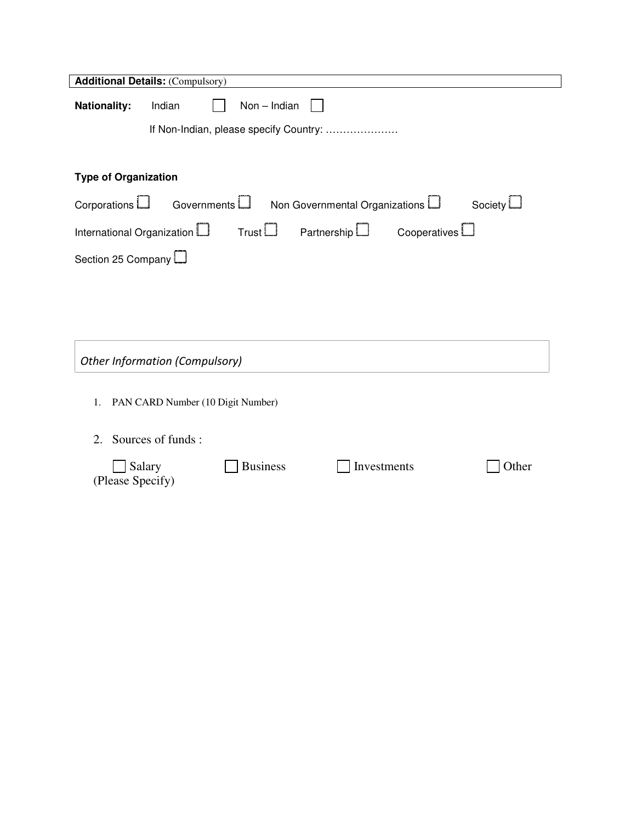| <b>Additional Details: (Compulsory)</b>                                           |                                        |  |  |  |  |  |
|-----------------------------------------------------------------------------------|----------------------------------------|--|--|--|--|--|
| <b>Nationality:</b>                                                               | Non - Indian<br>Indian                 |  |  |  |  |  |
|                                                                                   | If Non-Indian, please specify Country: |  |  |  |  |  |
|                                                                                   |                                        |  |  |  |  |  |
| <b>Type of Organization</b>                                                       |                                        |  |  |  |  |  |
| Corporations LJ<br>Non Governmental Organizations L<br>Governments L<br>Society L |                                        |  |  |  |  |  |
| Thus L<br>International Organization LJ<br>Partnership L<br>Cooperatives $\Box$   |                                        |  |  |  |  |  |
| Section 25 Company                                                                |                                        |  |  |  |  |  |
|                                                                                   |                                        |  |  |  |  |  |
|                                                                                   |                                        |  |  |  |  |  |
|                                                                                   |                                        |  |  |  |  |  |
| Other Information (Compulsory)                                                    |                                        |  |  |  |  |  |

- 1. PAN CARD Number (10 Digit Number)
- 2. Sources of funds :

| $\Box$ Salary    | Business | Investments | $\Box$ Other |
|------------------|----------|-------------|--------------|
| (Please Specify) |          |             |              |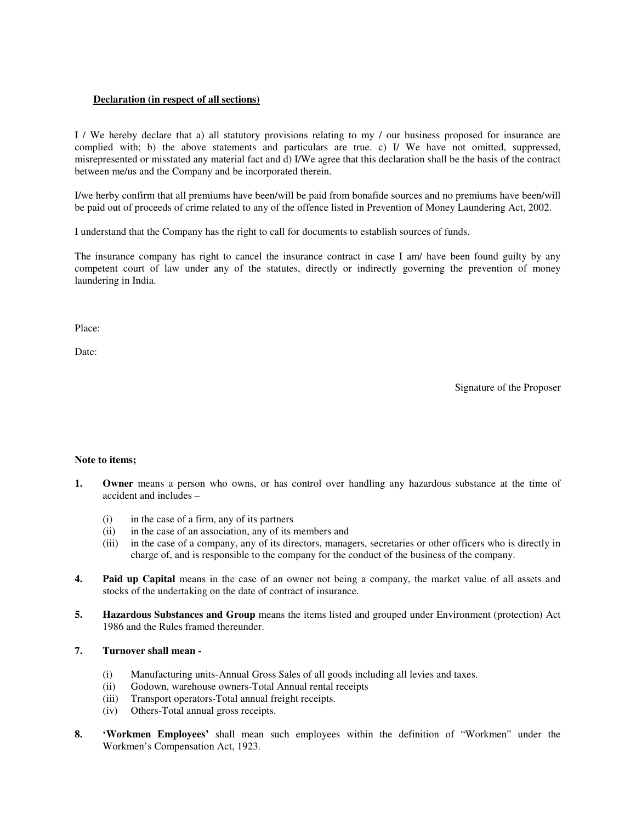## **Declaration (in respect of all sections)**

I / We hereby declare that a) all statutory provisions relating to my / our business proposed for insurance are complied with; b) the above statements and particulars are true. c) I/ We have not omitted, suppressed, misrepresented or misstated any material fact and d) I/We agree that this declaration shall be the basis of the contract between me/us and the Company and be incorporated therein.

I/we herby confirm that all premiums have been/will be paid from bonafide sources and no premiums have been/will be paid out of proceeds of crime related to any of the offence listed in Prevention of Money Laundering Act, 2002.

I understand that the Company has the right to call for documents to establish sources of funds.

The insurance company has right to cancel the insurance contract in case I am/ have been found guilty by any competent court of law under any of the statutes, directly or indirectly governing the prevention of money laundering in India.

Place:

Date:

Signature of the Proposer

#### **Note to items;**

- **1. Owner** means a person who owns, or has control over handling any hazardous substance at the time of accident and includes –
	- (i) in the case of a firm, any of its partners
	- (ii) in the case of an association, any of its members and
	- (iii) in the case of a company, any of its directors, managers, secretaries or other officers who is directly in charge of, and is responsible to the company for the conduct of the business of the company.
- **4. Paid up Capital** means in the case of an owner not being a company, the market value of all assets and stocks of the undertaking on the date of contract of insurance.
- **5. Hazardous Substances and Group** means the items listed and grouped under Environment (protection) Act 1986 and the Rules framed thereunder.

### **7. Turnover shall mean -**

- (i) Manufacturing units-Annual Gross Sales of all goods including all levies and taxes.
- (ii) Godown, warehouse owners-Total Annual rental receipts
- (iii) Transport operators-Total annual freight receipts.
- (iv) Others-Total annual gross receipts.
- **8. 'Workmen Employees'** shall mean such employees within the definition of "Workmen" under the Workmen's Compensation Act, 1923.